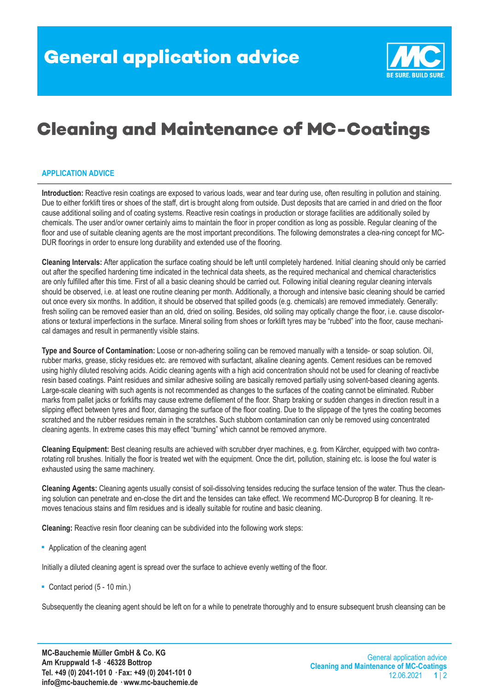

## **Cleaning and Maintenance of MC-Coatings**

## **APPLICATION ADVICE**

**Introduction:** Reactive resin coatings are exposed to various loads, wear and tear during use, often resulting in pollution and staining. Due to either forklift tires or shoes of the staff, dirt is brought along from outside. Dust deposits that are carried in and dried on the floor cause additional soiling and of coating systems. Reactive resin coatings in production or storage facilities are additionally soiled by chemicals. The user and/or owner certainly aims to maintain the floor in proper condition as long as possible. Regular cleaning of the floor and use of suitable cleaning agents are the most important preconditions. The following demonstrates a clea-ning concept for MC-DUR floorings in order to ensure long durability and extended use of the flooring.

**Cleaning Intervals:** After application the surface coating should be left until completely hardened. Initial cleaning should only be carried out after the specified hardening time indicated in the technical data sheets, as the required mechanical and chemical characteristics are only fulfilled after this time. First of all a basic cleaning should be carried out. Following initial cleaning regular cleaning intervals should be observed, i.e. at least one routine cleaning per month. Additionally, a thorough and intensive basic cleaning should be carried out once every six months. In addition, it should be observed that spilled goods (e.g. chemicals) are removed immediately. Generally: fresh soiling can be removed easier than an old, dried on soiling. Besides, old soiling may optically change the floor, i.e. cause discolorations or textural imperfections in the surface. Mineral soiling from shoes or forklift tyres may be "rubbed" into the floor, cause mechanical damages and result in permanently visible stains.

**Type and Source of Contamination:** Loose or non-adhering soiling can be removed manually with a tenside- or soap solution. Oil, rubber marks, grease, sticky residues etc. are removed with surfactant, alkaline cleaning agents. Cement residues can be removed using highly diluted resolving acids. Acidic cleaning agents with a high acid concentration should not be used for cleaning of reactivbe resin based coatings. Paint residues and similar adhesive soiling are basically removed partially using solvent-based cleaning agents. Large-scale cleaning with such agents is not recommended as changes to the surfaces of the coating cannot be eliminated. Rubber marks from pallet jacks or forklifts may cause extreme defilement of the floor. Sharp braking or sudden changes in direction result in a slipping effect between tyres and floor, damaging the surface of the floor coating. Due to the slippage of the tyres the coating becomes scratched and the rubber residues remain in the scratches. Such stubborn contamination can only be removed using concentrated cleaning agents. In extreme cases this may effect "burning" which cannot be removed anymore.

**Cleaning Equipment:** Best cleaning results are achieved with scrubber dryer machines, e.g. from Kärcher, equipped with two contrarotating roll brushes. Initially the floor is treated wet with the equipment. Once the dirt, pollution, staining etc. is loose the foul water is exhausted using the same machinery.

**Cleaning Agents:** Cleaning agents usually consist of soil-dissolving tensides reducing the surface tension of the water. Thus the cleaning solution can penetrate and en-close the dirt and the tensides can take effect. We recommend MC-Duroprop B for cleaning. It removes tenacious stains and film residues and is ideally suitable for routine and basic cleaning.

**Cleaning:** Reactive resin floor cleaning can be subdivided into the following work steps:

■ Application of the cleaning agent

Initially a diluted cleaning agent is spread over the surface to achieve evenly wetting of the floor.

■ Contact period (5 - 10 min.)

Subsequently the cleaning agent should be left on for a while to penetrate thoroughly and to ensure subsequent brush cleansing can be